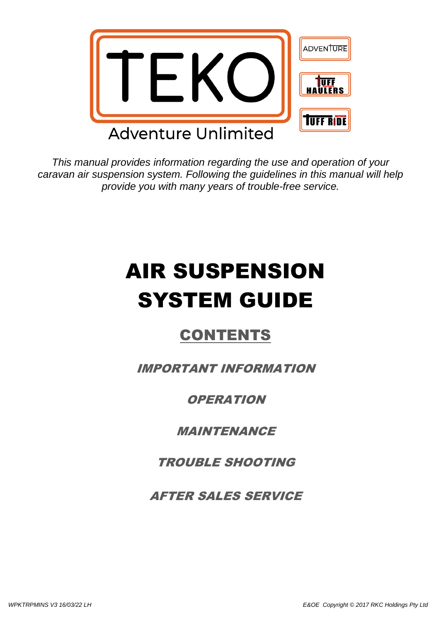

*This manual provides information regarding the use and operation of your caravan air suspension system. Following the guidelines in this manual will help provide you with many years of trouble-free service.*

# AIR SUSPENSION SYSTEM GUIDE

# CONTENTS

IMPORTANT INFORMATION

OPERATION

MAINTENANCE

TROUBLE SHOOTING

AFTER SALES SERVICE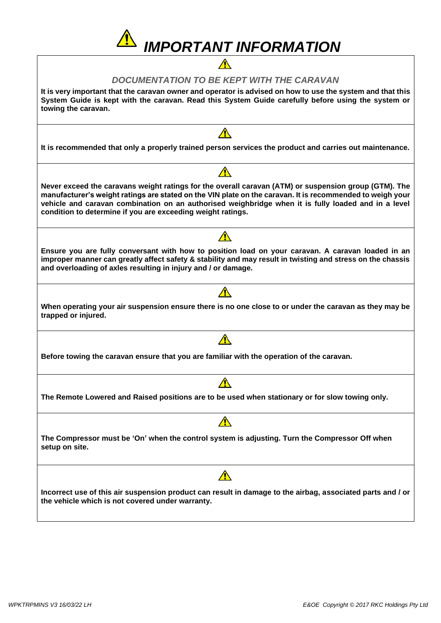

| <b>DOCUMENTATION TO BE KEPT WITH THE CARAVAN</b>                                                                                                                                                                                                                                                                                                                                         |  |  |
|------------------------------------------------------------------------------------------------------------------------------------------------------------------------------------------------------------------------------------------------------------------------------------------------------------------------------------------------------------------------------------------|--|--|
| It is very important that the caravan owner and operator is advised on how to use the system and that this<br>System Guide is kept with the caravan. Read this System Guide carefully before using the system or<br>towing the caravan.                                                                                                                                                  |  |  |
|                                                                                                                                                                                                                                                                                                                                                                                          |  |  |
| It is recommended that only a properly trained person services the product and carries out maintenance.                                                                                                                                                                                                                                                                                  |  |  |
|                                                                                                                                                                                                                                                                                                                                                                                          |  |  |
| Never exceed the caravans weight ratings for the overall caravan (ATM) or suspension group (GTM). The<br>manufacturer's weight ratings are stated on the VIN plate on the caravan. It is recommended to weigh your<br>vehicle and caravan combination on an authorised weighbridge when it is fully loaded and in a level<br>condition to determine if you are exceeding weight ratings. |  |  |
|                                                                                                                                                                                                                                                                                                                                                                                          |  |  |
| Ensure you are fully conversant with how to position load on your caravan. A caravan loaded in an<br>improper manner can greatly affect safety & stability and may result in twisting and stress on the chassis<br>and overloading of axles resulting in injury and / or damage.                                                                                                         |  |  |
|                                                                                                                                                                                                                                                                                                                                                                                          |  |  |
| When operating your air suspension ensure there is no one close to or under the caravan as they may be<br>trapped or injured.                                                                                                                                                                                                                                                            |  |  |
|                                                                                                                                                                                                                                                                                                                                                                                          |  |  |
| Before towing the caravan ensure that you are familiar with the operation of the caravan.                                                                                                                                                                                                                                                                                                |  |  |
|                                                                                                                                                                                                                                                                                                                                                                                          |  |  |
| The Remote Lowered and Raised positions are to be used when stationary or for slow towing only.                                                                                                                                                                                                                                                                                          |  |  |
|                                                                                                                                                                                                                                                                                                                                                                                          |  |  |
| The Compressor must be 'On' when the control system is adjusting. Turn the Compressor Off when<br>setup on site.                                                                                                                                                                                                                                                                         |  |  |
|                                                                                                                                                                                                                                                                                                                                                                                          |  |  |
| Incorrect use of this air suspension product can result in damage to the airbag, associated parts and / or<br>the vehicle which is not covered under warranty.                                                                                                                                                                                                                           |  |  |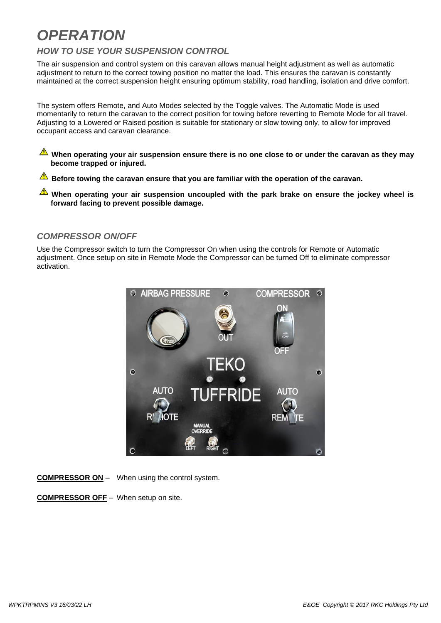# *OPERATION*

# *HOW TO USE YOUR SUSPENSION CONTROL*

The air suspension and control system on this caravan allows manual height adjustment as well as automatic adjustment to return to the correct towing position no matter the load. This ensures the caravan is constantly maintained at the correct suspension height ensuring optimum stability, road handling, isolation and drive comfort.

The system offers Remote, and Auto Modes selected by the Toggle valves. The Automatic Mode is used momentarily to return the caravan to the correct position for towing before reverting to Remote Mode for all travel. Adjusting to a Lowered or Raised position is suitable for stationary or slow towing only, to allow for improved occupant access and caravan clearance.

**When operating your air suspension ensure there is no one close to or under the caravan as they may become trapped or injured.** 

**Before towing the caravan ensure that you are familiar with the operation of the caravan.** 

When operating your air suspension uncoupled with the park brake on ensure the jockey wheel is **forward facing to prevent possible damage.** 

# *COMPRESSOR ON/OFF*

Use the Compressor switch to turn the Compressor On when using the controls for Remote or Automatic adjustment. Once setup on site in Remote Mode the Compressor can be turned Off to eliminate compressor activation.



**COMPRESSOR ON** – When using the control system.

# **COMPRESSOR OFF** – When setup on site.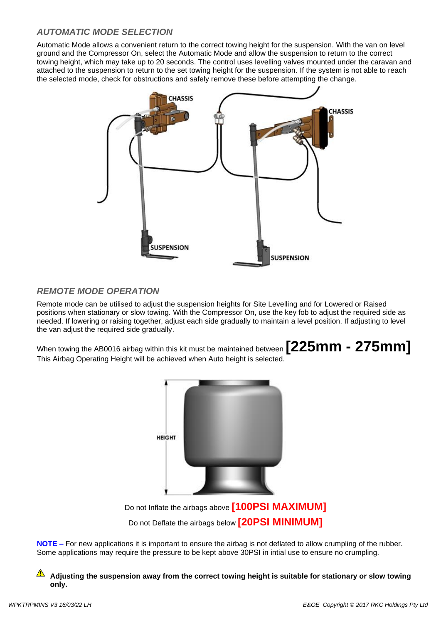# *AUTOMATIC MODE SELECTION*

Automatic Mode allows a convenient return to the correct towing height for the suspension. With the van on level ground and the Compressor On, select the Automatic Mode and allow the suspension to return to the correct towing height, which may take up to 20 seconds. The control uses levelling valves mounted under the caravan and attached to the suspension to return to the set towing height for the suspension. If the system is not able to reach the selected mode, check for obstructions and safely remove these before attempting the change.



# *REMOTE MODE OPERATION*

Remote mode can be utilised to adjust the suspension heights for Site Levelling and for Lowered or Raised positions when stationary or slow towing. With the Compressor On, use the key fob to adjust the required side as needed. If lowering or raising together, adjust each side gradually to maintain a level position. If adjusting to level the van adjust the required side gradually.

When towing the AB0016 airbag within this kit must be maintained between **[225mm - 275mm]** This Airbag Operating Height will be achieved when Auto height is selected.



Do not Inflate the airbags above **[100PSI MAXIMUM]** Do not Deflate the airbags below **[20PSI MINIMUM]**

**NOTE –** For new applications it is important to ensure the airbag is not deflated to allow crumpling of the rubber. Some applications may require the pressure to be kept above 30PSI in intial use to ensure no crumpling.

#### $\triangle$ **Adjusting the suspension away from the correct towing height is suitable for stationary or slow towing only.**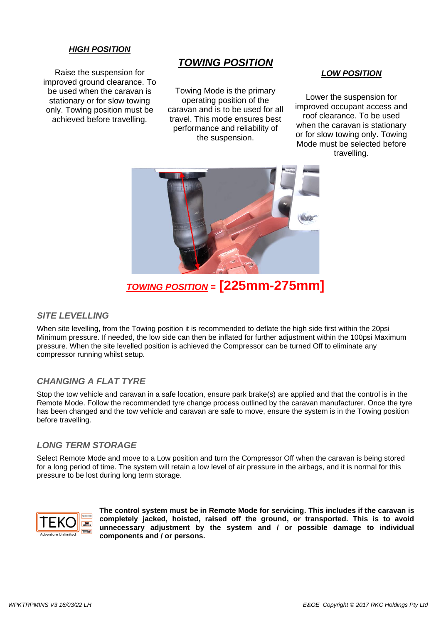# *HIGH POSITION*

Raise the suspension for improved ground clearance. To be used when the caravan is stationary or for slow towing only. Towing position must be achieved before travelling.

# *TOWING POSITION*

Towing Mode is the primary operating position of the caravan and is to be used for all travel. This mode ensures best performance and reliability of the suspension.

# *LOW POSITION*

Lower the suspension for improved occupant access and roof clearance. To be used when the caravan is stationary or for slow towing only. Towing Mode must be selected before travelling.



# *TOWING POSITION <sup>=</sup>* **[225mm-275mm]**

### *SITE LEVELLING*

When site levelling, from the Towing position it is recommended to deflate the high side first within the 20psi Minimum pressure. If needed, the low side can then be inflated for further adjustment within the 100psi Maximum pressure. When the site levelled position is achieved the Compressor can be turned Off to eliminate any compressor running whilst setup.

# *CHANGING A FLAT TYRE*

Stop the tow vehicle and caravan in a safe location, ensure park brake(s) are applied and that the control is in the Remote Mode. Follow the recommended tyre change process outlined by the caravan manufacturer. Once the tyre has been changed and the tow vehicle and caravan are safe to move, ensure the system is in the Towing position before travelling.

# *LONG TERM STORAGE*

Select Remote Mode and move to a Low position and turn the Compressor Off when the caravan is being stored for a long period of time. The system will retain a low level of air pressure in the airbags, and it is normal for this pressure to be lost during long term storage.



**The control system must be in Remote Mode for servicing. This includes if the caravan is completely jacked, hoisted, raised off the ground, or transported. This is to avoid unnecessary adjustment by the system and / or possible damage to individual components and / or persons.**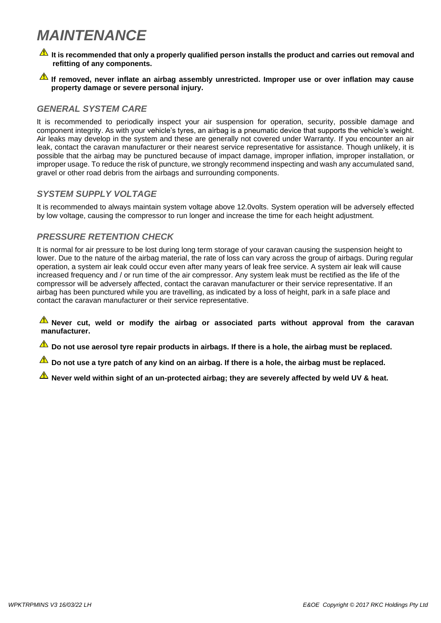# *MAINTENANCE*

- It is recommended that only a properly qualified person installs the product and carries out removal and **A refitting of any components.**
- **If removed, never inflate an airbag assembly unrestricted. Improper use or over inflation may cause property damage or severe personal injury.**

# *GENERAL SYSTEM CARE*

It is recommended to periodically inspect your air suspension for operation, security, possible damage and component integrity. As with your vehicle's tyres, an airbag is a pneumatic device that supports the vehicle's weight. Air leaks may develop in the system and these are generally not covered under Warranty. If you encounter an air leak, contact the caravan manufacturer or their nearest service representative for assistance. Though unlikely, it is possible that the airbag may be punctured because of impact damage, improper inflation, improper installation, or improper usage. To reduce the risk of puncture, we strongly recommend inspecting and wash any accumulated sand, gravel or other road debris from the airbags and surrounding components.

# *SYSTEM SUPPLY VOLTAGE*

It is recommended to always maintain system voltage above 12.0volts. System operation will be adversely effected by low voltage, causing the compressor to run longer and increase the time for each height adjustment.

# *PRESSURE RETENTION CHECK*

It is normal for air pressure to be lost during long term storage of your caravan causing the suspension height to lower. Due to the nature of the airbag material, the rate of loss can vary across the group of airbags. During regular operation, a system air leak could occur even after many years of leak free service. A system air leak will cause increased frequency and / or run time of the air compressor. Any system leak must be rectified as the life of the compressor will be adversely affected, contact the caravan manufacturer or their service representative. If an airbag has been punctured while you are travelling, as indicated by a loss of height, park in a safe place and contact the caravan manufacturer or their service representative.

**A** Never cut. weld or modify the airbag or associated parts without approval from the caravan **manufacturer.**

**1** Do not use aerosol tyre repair products in airbags. If there is a hole, the airbag must be replaced.

**1** Do not use a tyre patch of any kind on an airbag. If there is a hole, the airbag must be replaced.

**A** Never weld within sight of an un-protected airbag; they are severely affected by weld UV & heat.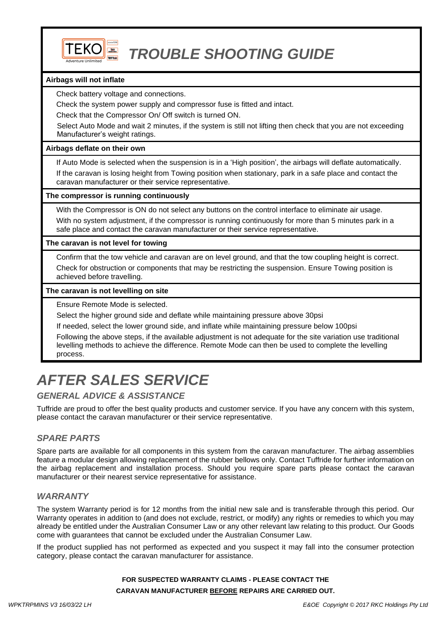

# *TROUBLE SHOOTING GUIDE*

### **Airbags will not inflate**

Check battery voltage and connections.

Check the system power supply and compressor fuse is fitted and intact.

Check that the Compressor On/ Off switch is turned ON.

Select Auto Mode and wait 2 minutes, if the system is still not lifting then check that you are not exceeding Manufacturer's weight ratings.

#### **Airbags deflate on their own**

If Auto Mode is selected when the suspension is in a 'High position', the airbags will deflate automatically. If the caravan is losing height from Towing position when stationary, park in a safe place and contact the caravan manufacturer or their service representative.

### **The compressor is running continuously**

With the Compressor is ON do not select any buttons on the control interface to eliminate air usage. With no system adjustment, if the compressor is running continuously for more than 5 minutes park in a safe place and contact the caravan manufacturer or their service representative.

### **The caravan is not level for towing**

Confirm that the tow vehicle and caravan are on level ground, and that the tow coupling height is correct. Check for obstruction or components that may be restricting the suspension. Ensure Towing position is achieved before travelling.

#### **The caravan is not levelling on site**

Ensure Remote Mode is selected.

Select the higher ground side and deflate while maintaining pressure above 30psi

If needed, select the lower ground side, and inflate while maintaining pressure below 100psi

Following the above steps, if the available adjustment is not adequate for the site variation use traditional levelling methods to achieve the difference. Remote Mode can then be used to complete the levelling process.

# *AFTER SALES SERVICE*

# *GENERAL ADVICE & ASSISTANCE*

Tuffride are proud to offer the best quality products and customer service. If you have any concern with this system, please contact the caravan manufacturer or their service representative.

# *SPARE PARTS*

Spare parts are available for all components in this system from the caravan manufacturer. The airbag assemblies feature a modular design allowing replacement of the rubber bellows only. Contact Tuffride for further information on the airbag replacement and installation process. Should you require spare parts please contact the caravan manufacturer or their nearest service representative for assistance.

# *WARRANTY*

The system Warranty period is for 12 months from the initial new sale and is transferable through this period. Our Warranty operates in addition to (and does not exclude, restrict, or modify) any rights or remedies to which you may already be entitled under the Australian Consumer Law or any other relevant law relating to this product. Our Goods come with guarantees that cannot be excluded under the Australian Consumer Law.

If the product supplied has not performed as expected and you suspect it may fall into the consumer protection category, please contact the caravan manufacturer for assistance.

# **FOR SUSPECTED WARRANTY CLAIMS - PLEASE CONTACT THE CARAVAN MANUFACTURER BEFORE REPAIRS ARE CARRIED OUT.**